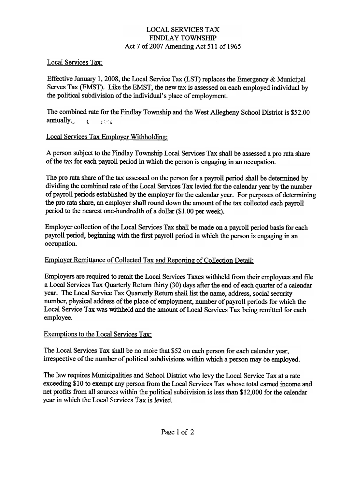#### LOCAL SERVICES TAX FINDLAY TOWNSHIP Act 7 of 2007 Amending Act 511 of 1965

## Local Services Tax:

Effective January 1,2008, the Local Service Tax (LST) replaces the Emergency & Municipal Serves Tax (EMST). Like the EMST, the newtax is assessed on each employed individual by the political subdivision of the individual's place of employment.

The combined rate for the Findlay Township and the West Allegheny School District is \$52.00 annually.  $\qquad \qquad t \qquad \text{if } t \in \mathbb{R}$ 

## Local Services Tax Employer Withholding:

A person subject to the Findlay Township Local Services Tax shall be assessed a pro rata share of the tax tor each payroll period in which the person is engaging in an occupation.

The pro rata share of the tax assessed on the person for a payroll period shall be determined by dividing the combined rate of the Local Services Tax levied for the calendar year by the number of payroll periods established by the employer for the calendar year. For purposes of detennining the pro rata share, an employer shall round down the amount of the tax collected each payroll period to the nearest one-hundredth of a dollar (\$1.00 per week).

Employer collection of the Local Services Tax shall be made on a payroll period basis for each payroll period, beginning with the first payroll period in which the person is engaging in an occupation.

# Employer Remittance of Collected Tax and Reporting of Collection Detail:

Employers are required to remit the Local Services Taxes withheld from their employees and file a Local Services Tax Quarterly Return thirty (30) days after the end ofeach quarter of a calendar year. The Local Service Tax Quarterly Return shall list the name, address, social security number, physical address of the place of employment. number of payroll periods for which the Local Service Tax was withheld and the amount of Local Services Tax being remitted for each employee.

#### Exemptions to the Local Services Tax:

The Local Services Tax shall be no more that \$52 on each person for each calendar year, irrespective of the number of political subdivisions within which a person may be employed.

The law requires Municipalities and School District who levy the Local Service Tax at a rate exceeding \$10 to exempt any person from the Local Services Tax whose total earned income and net profits from all sources within the political subdivision is less than \$12,000 for the calendar year in which the Local Services Tax is levied.